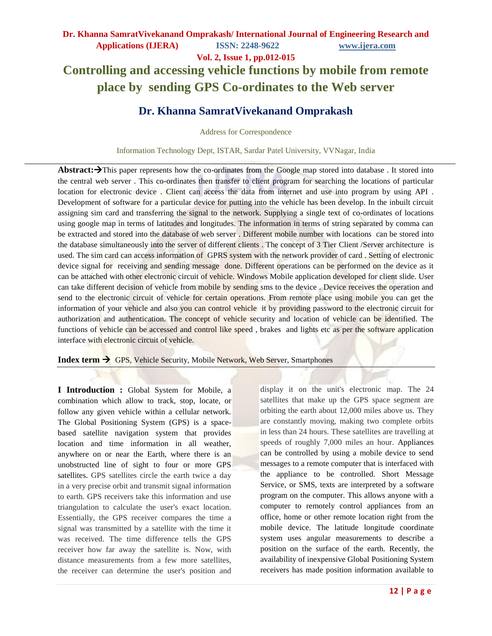**Vol. 2, Issue 1, pp.012-015**

# **Controlling and accessing vehicle functions by mobile from remote place by sending GPS Co-ordinates to the Web server**

# **Dr. Khanna SamratVivekanand Omprakash**

Address for Correspondence

Information Technology Dept, ISTAR, Sardar Patel University, VVNagar, India

Abstract: $\rightarrow$ This paper represents how the co-ordinates from the Google map stored into database. It stored into the central web server . This co-ordinates then transfer to client program for searching the locations of particular location for electronic device . Client can access the data from internet and use into program by using API . Development of software for a particular device for putting into the vehicle has been develop. In the inbuilt circuit assigning sim card and transferring the signal to the network. Supplying a single text of co-ordinates of locations using google map in terms of latitudes and longitudes. The information in terms of string separated by comma can be extracted and stored into the database of web server . Different mobile number with locations can be stored into the database simultaneously into the server of different clients . The concept of 3 Tier Client /Server architecture is used. The sim card can access information of GPRS system with the network provider of card . Setting of electronic device signal for receiving and sending message done. Different operations can be performed on the device as it can be attached with other electronic circuit of vehicle. Windows Mobile application developed for client slide. User can take different decision of vehicle from mobile by sending sms to the device . Device receives the operation and send to the electronic circuit of vehicle for certain operations. From remote place using mobile you can get the information of your vehicle and also you can control vehicle it by providing password to the electronic circuit for authorization and authentication. The concept of vehicle security and location of vehicle can be identified. The functions of vehicle can be accessed and control like speed, brakes and lights etc as per the software application interface with electronic circuit of vehicle.

**Index term**  $\rightarrow$  GPS, Vehicle Security, Mobile Network, Web Server, Smartphones

**I Introduction :** Global System for Mobile, a combination which allow to track, stop, locate, or follow any given vehicle within a cellular network. The Global Positioning System (GPS) is a spacebased [satellite navigation](http://en.wikipedia.org/wiki/Satellite_navigation) system that provides [location](http://en.wikipedia.org/wiki/Positioning_system) and time information in all weather, anywhere on or near the Earth, where there is an unobstructed line of sight to four or more GPS satellites. GPS satellites circle the earth twice a day in a very precise orbit and transmit signal information to earth. GPS receivers take this information and use triangulation to calculate the user's exact location. Essentially, the GPS receiver compares the time a signal was transmitted by a satellite with the time it was received. The time difference tells the GPS receiver how far away the satellite is. Now, with distance measurements from a few more satellites, the receiver can determine the user's position and

display it on the unit's electronic map. The 24 satellites that make up the GPS space segment are orbiting the earth about 12,000 miles above us. They are constantly moving, making two complete orbits in less than 24 hours. These satellites are travelling at speeds of roughly 7,000 miles an hour. Appliances can be controlled by using a mobile device to send messages to a remote computer that is interfaced with the appliance to be controlled. Short Message Service, or SMS, texts are interpreted by a software program on the computer. This allows anyone with a computer to remotely control appliances from an office, home or other remote location right from the mobile device. The latitude longitude coordinate system uses angular measurements to describe a position on the surface of the earth. Recently, the availability of inexpensive Global Positioning System receivers has made position information available to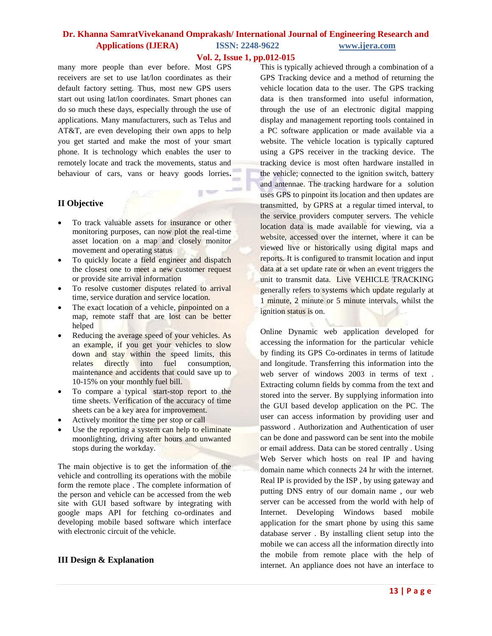## **Dr. Khanna SamratVivekanand Omprakash/ International Journal of Engineering Research and Applications (IJERA) ISSN: 2248-9622 www.ijera.com**

#### **Vol. 2, Issue 1, pp.012-015**

g se

many more people than ever before. Most GPS receivers are set to use lat/lon coordinates as their default factory setting. Thus, most new GPS users start out using lat/lon coordinates. Smart phones can do so much these days, especially through the use of applications. Many manufacturers, such as Telus and AT&T, are even developing their own apps to help you get started and make the most of your smart phone. It is technology which enables the user to remotely locate and track the movements, status and behaviour of cars, vans or heavy goods lorries**.**

### **II Objective**

- To track valuable assets for insurance or other monitoring purposes, can now plot the real-time asset location on a map and closely monitor movement and operating status
- To quickly locate a field engineer and dispatch the closest one to meet a new customer request or provide site arrival information
- To resolve customer disputes related to arrival time, service duration and service location.
- The exact location of a vehicle, pinpointed on a map, remote staff that are lost can be better helped
- Reducing the average speed of your vehicles. As an example, if you get your vehicles to slow down and stay within the speed limits, this relates directly into fuel consumption, maintenance and accidents that could save up to 10-15% on your monthly fuel bill.
- To compare a typical start-stop report to the time sheets. Verification of the accuracy of time sheets can be a key area for improvement.
- Actively monitor the time per stop or call
- Use the reporting a system can help to eliminate moonlighting, driving after hours and unwanted stops during the workday.

The main objective is to get the information of the vehicle and controlling its operations with the mobile form the remote place . The complete information of the person and vehicle can be accessed from the web site with GUI based software by integrating with google maps API for fetching co-ordinates and developing mobile based software which interface with electronic circuit of the vehicle.

#### **III Design & Explanation**

This is typically achieved through a combination of a GPS Tracking device and a method of returning the vehicle location data to the user. The GPS tracking data is then transformed into useful information, through the use of an electronic digital mapping display and management reporting tools contained in a PC software application or made available via a website. The vehicle location is typically captured using a GPS receiver in the tracking device. The tracking device is most often hardware installed in the vehicle; connected to the ignition switch, battery and antennae. The tracking hardware for a solution uses GPS to pinpoint its location and then updates are transmitted, by GPRS at a regular timed interval, to the service providers computer servers. The vehicle location data is made available for viewing, via a website, accessed over the internet, where it can be viewed live or historically using digital maps and reports. It is configured to transmit location and input data at a set update rate or when an event triggers the unit to transmit data. Live VEHICLE TRACKING generally refers to systems which update regularly at 1 minute, 2 minute or 5 minute intervals, whilst the ignition status is on.

Online Dynamic web application developed for accessing the information for the particular vehicle by finding its GPS Co-ordinates in terms of latitude and longitude. Transferring this information into the web server of windows 2003 in terms of text . Extracting column fields by comma from the text and stored into the server. By supplying information into the GUI based develop application on the PC. The user can access information by providing user and password . Authorization and Authentication of user can be done and password can be sent into the mobile or email address. Data can be stored centrally . Using Web Server which hosts on real IP and having domain name which connects 24 hr with the internet. Real IP is provided by the ISP , by using gateway and putting DNS entry of our domain name , our web server can be accessed from the world with help of Internet. Developing Windows based mobile application for the smart phone by using this same database server . By installing client setup into the mobile we can access all the information directly into the mobile from remote place with the help of internet. An appliance does not have an interface to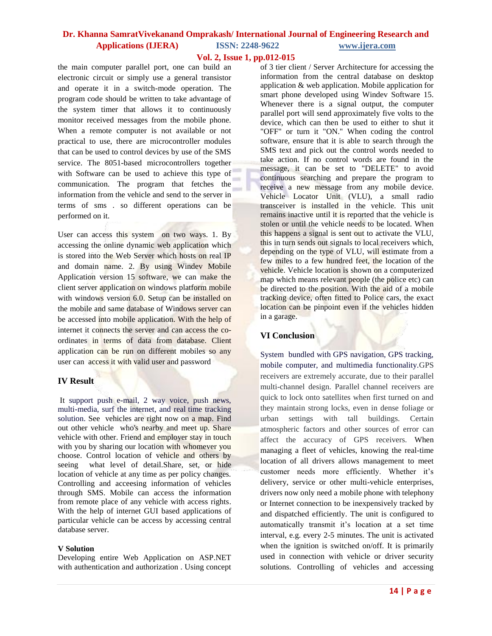# **Dr. Khanna SamratVivekanand Omprakash/ International Journal of Engineering Research and**

### **Applications (IJERA) ISSN: 2248-9622 www.ijera.com**

#### **Vol. 2, Issue 1, pp.012-015**

the main computer parallel port, one can build an electronic circuit or simply use a general transistor and operate it in a switch-mode operation. The program code should be written to take advantage of the system timer that allows it to continuously monitor received messages from the mobile phone. When a remote computer is not available or not practical to use, there are microcontroller modules that can be used to control devices by use of the SMS service. The 8051-based microcontrollers together with Software can be used to achieve this type of communication. The program that fetches the information from the vehicle and send to the server in terms of sms . so different operations can be performed on it.

User can access this system on two ways. 1. By accessing the online dynamic web application which is stored into the Web Server which hosts on real IP and domain name. 2. By using Windev Mobile Application version 15 software, we can make the client server application on windows platform mobile with windows version 6.0. Setup can be installed on the mobile and same database of Windows server can be accessed into mobile application. With the help of internet it connects the server and can access the coordinates in terms of data from database. Client application can be run on different mobiles so any user can access it with valid user and password

#### **IV Result**

It support push e-mail, 2 way voice, push news, multi-media, surf the internet, and real time tracking solution. See vehicles are right now on a map. Find out other vehicle who's nearby and meet up. Share vehicle with other. Friend and employer stay in touch with you by sharing our location with whomever you choose. Control location of vehicle and others by seeing what level of detail.Share, set, or hide location of vehicle at any time as per policy changes. Controlling and acceesing information of vehicles through SMS. Mobile can access the information from remote place of any vehicle with access rights. With the help of internet GUI based applications of particular vehicle can be access by accessing central database server.

#### **V Solution**

Developing entire Web Application on ASP.NET with authentication and authorization . Using concept

of 3 tier client / Server Architecture for accessing the information from the central database on desktop application & web application. Mobile application for smart phone developed using Windev Software 15. Whenever there is a signal output, the computer parallel port will send approximately five volts to the device, which can then be used to either to shut it "OFF" or turn it "ON." When coding the control software, ensure that it is able to search through the SMS text and pick out the control words needed to take action. If no control words are found in the message, it can be set to "DELETE" to avoid continuous searching and prepare the program to receive a new message from any mobile device. Vehicle Locator Unit (VLU), a small radio transceiver is installed in the vehicle. This unit remains inactive until it is reported that the vehicle is stolen or until the vehicle needs to be located. When this happens a signal is sent out to activate the VLU, this in turn sends out signals to local receivers which, depending on the type of VLU, will estimate from a few miles to a few hundred feet, the location of the vehicle. Vehicle location is shown on a computerized map which means relevant people (the police etc) can be directed to the position. With the aid of a mobile tracking device, often fitted to Police cars, the exact location can be pinpoint even if the vehicles hidden in a garage.

#### **VI Conclusion**

System bundled with GPS navigation, GPS tracking, mobile computer, and multimedia functionality.GPS receivers are extremely accurate, due to their parallel multi-channel design. Parallel channel receivers are quick to lock onto satellites when first turned on and they maintain strong locks, even in dense foliage or urban settings with tall buildings. Certain atmospheric factors and other sources of error can affect the accuracy of GPS receivers. When managing a fleet of vehicles, knowing the real-time location of all drivers allows management to meet customer needs more efficiently. Whether it's delivery, service or other multi-vehicle enterprises, drivers now only need a mobile phone with telephony or Internet connection to be inexpensively tracked by and dispatched efficiently. The unit is configured to automatically transmit it's location at a set time interval, e.g. every 2-5 minutes. The unit is activated when the ignition is switched on/off. It is primarily used in connection with vehicle or driver security solutions. Controlling of vehicles and accessing